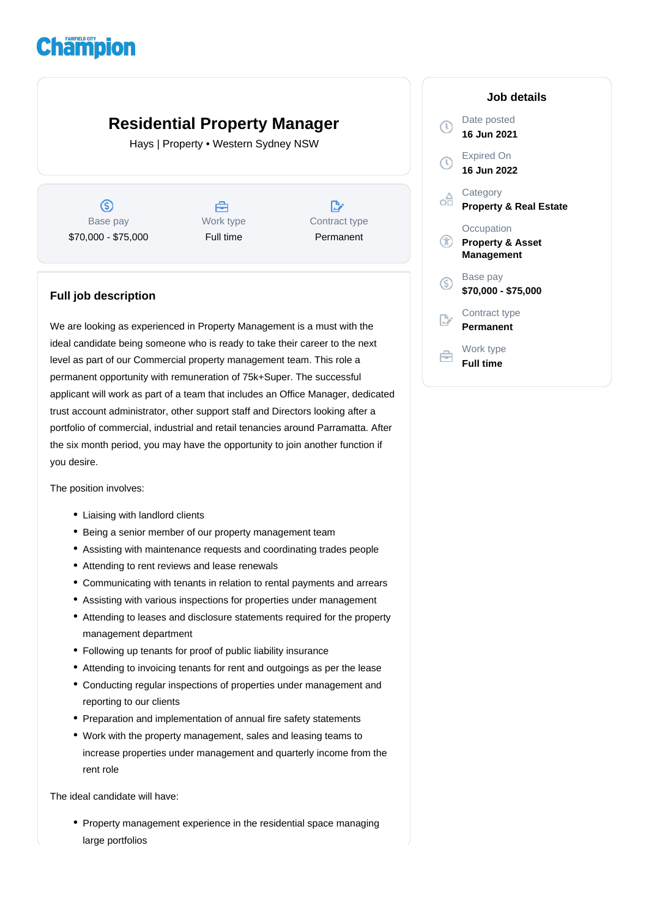## **Champion**

## **Residential Property Manager**

Hays | Property • Western Sydney NSW

 $\circledS$ Base pay \$70,000 - \$75,000



 $\mathbb{R}$ Contract type Permanent

## **Full job description**

We are looking as experienced in Property Management is a must with the ideal candidate being someone who is ready to take their career to the next level as part of our Commercial property management team. This role a permanent opportunity with remuneration of 75k+Super. The successful applicant will work as part of a team that includes an Office Manager, dedicated trust account administrator, other support staff and Directors looking after a portfolio of commercial, industrial and retail tenancies around Parramatta. After the six month period, you may have the opportunity to join another function if you desire.

The position involves:

- Liaising with landlord clients
- Being a senior member of our property management team
- Assisting with maintenance requests and coordinating trades people
- Attending to rent reviews and lease renewals
- Communicating with tenants in relation to rental payments and arrears
- Assisting with various inspections for properties under management
- Attending to leases and disclosure statements required for the property management department
- Following up tenants for proof of public liability insurance
- Attending to invoicing tenants for rent and outgoings as per the lease
- Conducting regular inspections of properties under management and reporting to our clients
- Preparation and implementation of annual fire safety statements
- Work with the property management, sales and leasing teams to increase properties under management and quarterly income from the rent role

The ideal candidate will have:

• Property management experience in the residential space managing large portfolios

|    | Job details                                             |
|----|---------------------------------------------------------|
|    | Date posted<br>16 Jun 2021                              |
|    | Expired On<br>16 Jun 2022                               |
|    | Category<br><b>Property &amp; Real Estate</b>           |
|    | Occupation<br><b>Property &amp; Asset</b><br>Management |
| G) | Base pay<br>\$70,000 - \$75,000                         |
|    | Contract type<br>Permanent                              |
|    | Work type<br><b>Full time</b>                           |